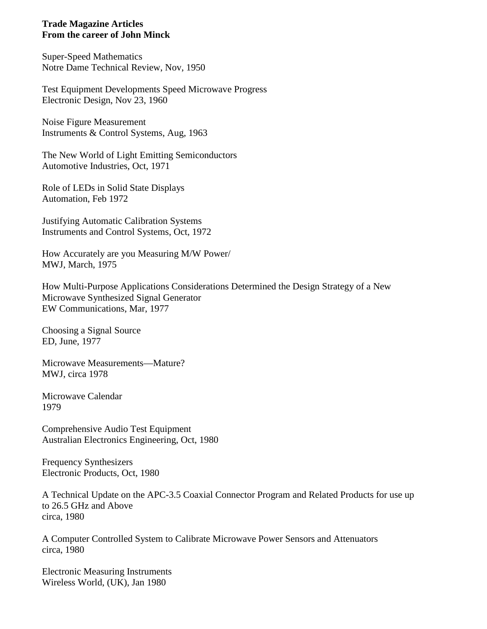## **Trade Magazine Articles From the career of John Minck**

Super-Speed Mathematics Notre Dame Technical Review, Nov, 1950

Test Equipment Developments Speed Microwave Progress Electronic Design, Nov 23, 1960

Noise Figure Measurement Instruments & Control Systems, Aug, 1963

The New World of Light Emitting Semiconductors Automotive Industries, Oct, 1971

Role of LEDs in Solid State Displays Automation, Feb 1972

Justifying Automatic Calibration Systems Instruments and Control Systems, Oct, 1972

How Accurately are you Measuring M/W Power/ MWJ, March, 1975

How Multi-Purpose Applications Considerations Determined the Design Strategy of a New Microwave Synthesized Signal Generator EW Communications, Mar, 1977

Choosing a Signal Source ED, June, 1977

Microwave Measurements—Mature? MWJ, circa 1978

Microwave Calendar 1979

Comprehensive Audio Test Equipment Australian Electronics Engineering, Oct, 1980

Frequency Synthesizers Electronic Products, Oct, 1980

A Technical Update on the APC-3.5 Coaxial Connector Program and Related Products for use up to 26.5 GHz and Above circa, 1980

A Computer Controlled System to Calibrate Microwave Power Sensors and Attenuators circa, 1980

Electronic Measuring Instruments Wireless World, (UK), Jan 1980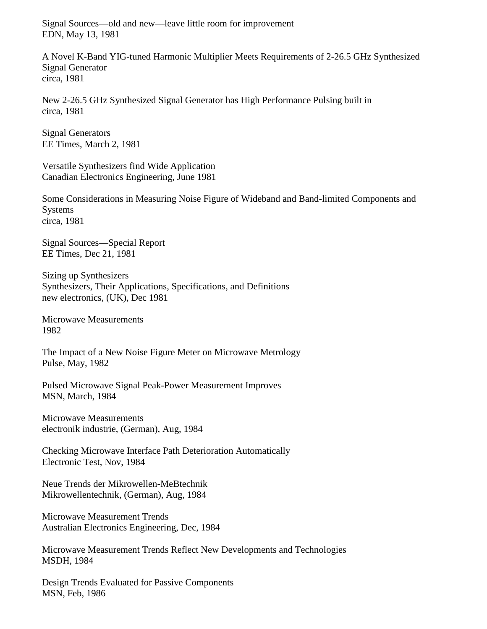Signal Sources—old and new—leave little room for improvement EDN, May 13, 1981

A Novel K-Band YIG-tuned Harmonic Multiplier Meets Requirements of 2-26.5 GHz Synthesized Signal Generator circa, 1981

New 2-26.5 GHz Synthesized Signal Generator has High Performance Pulsing built in circa, 1981

Signal Generators EE Times, March 2, 1981

Versatile Synthesizers find Wide Application Canadian Electronics Engineering, June 1981

Some Considerations in Measuring Noise Figure of Wideband and Band-limited Components and Systems circa, 1981

Signal Sources—Special Report EE Times, Dec 21, 1981

Sizing up Synthesizers Synthesizers, Their Applications, Specifications, and Definitions new electronics, (UK), Dec 1981

Microwave Measurements 1982

The Impact of a New Noise Figure Meter on Microwave Metrology Pulse, May, 1982

Pulsed Microwave Signal Peak-Power Measurement Improves MSN, March, 1984

Microwave Measurements electronik industrie, (German), Aug, 1984

Checking Microwave Interface Path Deterioration Automatically Electronic Test, Nov, 1984

Neue Trends der Mikrowellen-MeBtechnik Mikrowellentechnik, (German), Aug, 1984

Microwave Measurement Trends Australian Electronics Engineering, Dec, 1984

Microwave Measurement Trends Reflect New Developments and Technologies MSDH, 1984

Design Trends Evaluated for Passive Components MSN, Feb, 1986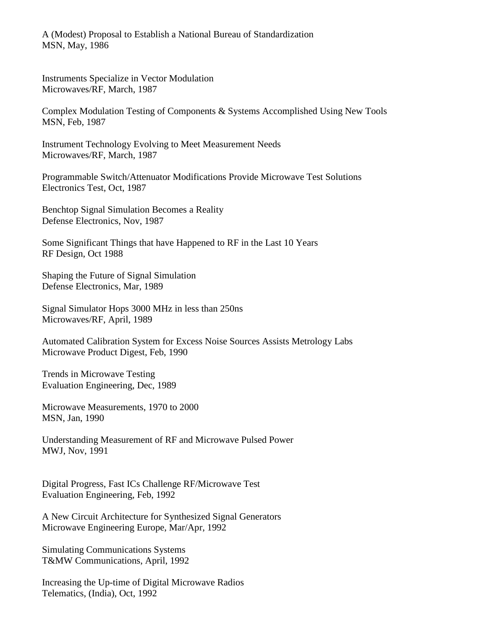A (Modest) Proposal to Establish a National Bureau of Standardization MSN, May, 1986

Instruments Specialize in Vector Modulation Microwaves/RF, March, 1987

Complex Modulation Testing of Components & Systems Accomplished Using New Tools MSN, Feb, 1987

Instrument Technology Evolving to Meet Measurement Needs Microwaves/RF, March, 1987

Programmable Switch/Attenuator Modifications Provide Microwave Test Solutions Electronics Test, Oct, 1987

Benchtop Signal Simulation Becomes a Reality Defense Electronics, Nov, 1987

Some Significant Things that have Happened to RF in the Last 10 Years RF Design, Oct 1988

Shaping the Future of Signal Simulation Defense Electronics, Mar, 1989

Signal Simulator Hops 3000 MHz in less than 250ns Microwaves/RF, April, 1989

Automated Calibration System for Excess Noise Sources Assists Metrology Labs Microwave Product Digest, Feb, 1990

Trends in Microwave Testing Evaluation Engineering, Dec, 1989

Microwave Measurements, 1970 to 2000 MSN, Jan, 1990

Understanding Measurement of RF and Microwave Pulsed Power MWJ, Nov, 1991

Digital Progress, Fast ICs Challenge RF/Microwave Test Evaluation Engineering, Feb, 1992

A New Circuit Architecture for Synthesized Signal Generators Microwave Engineering Europe, Mar/Apr, 1992

Simulating Communications Systems T&MW Communications, April, 1992

Increasing the Up-time of Digital Microwave Radios Telematics, (India), Oct, 1992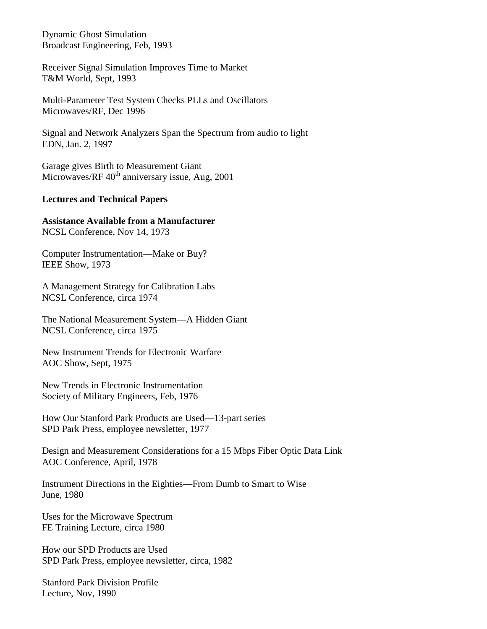Dynamic Ghost Simulation Broadcast Engineering, Feb, 1993

Receiver Signal Simulation Improves Time to Market T&M World, Sept, 1993

Multi-Parameter Test System Checks PLLs and Oscillators Microwaves/RF, Dec 1996

Signal and Network Analyzers Span the Spectrum from audio to light EDN, Jan. 2, 1997

Garage gives Birth to Measurement Giant Microwaves/RF  $40<sup>th</sup>$  anniversary issue, Aug, 2001

## **Lectures and Technical Papers**

**Assistance Available from a Manufacturer** NCSL Conference, Nov 14, 1973

Computer Instrumentation—Make or Buy? IEEE Show, 1973

A Management Strategy for Calibration Labs NCSL Conference, circa 1974

The National Measurement System—A Hidden Giant NCSL Conference, circa 1975

New Instrument Trends for Electronic Warfare AOC Show, Sept, 1975

New Trends in Electronic Instrumentation Society of Military Engineers, Feb, 1976

How Our Stanford Park Products are Used—13-part series SPD Park Press, employee newsletter, 1977

Design and Measurement Considerations for a 15 Mbps Fiber Optic Data Link AOC Conference, April, 1978

Instrument Directions in the Eighties—From Dumb to Smart to Wise June, 1980

Uses for the Microwave Spectrum FE Training Lecture, circa 1980

How our SPD Products are Used SPD Park Press, employee newsletter, circa, 1982

Stanford Park Division Profile Lecture, Nov, 1990